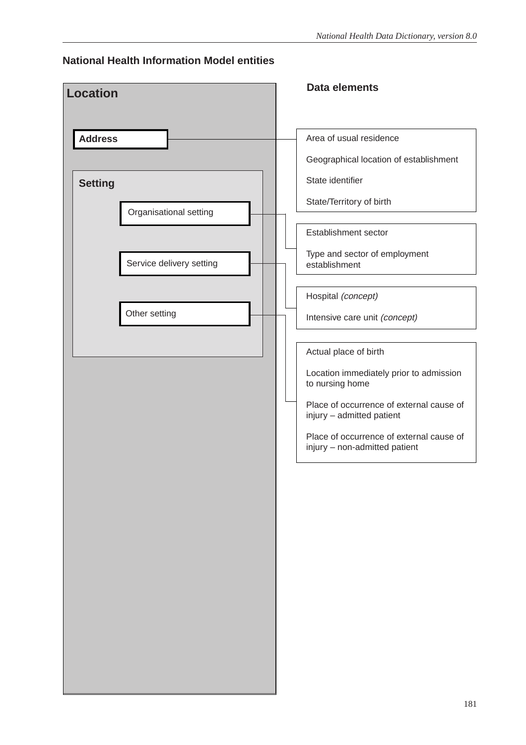### **National Health Information Model entities**

| Area of usual residence<br>Geographical location of establishment<br>State identifier<br>State/Territory of birth<br>Establishment sector<br>Type and sector of employment                                                                |
|-------------------------------------------------------------------------------------------------------------------------------------------------------------------------------------------------------------------------------------------|
|                                                                                                                                                                                                                                           |
|                                                                                                                                                                                                                                           |
|                                                                                                                                                                                                                                           |
|                                                                                                                                                                                                                                           |
|                                                                                                                                                                                                                                           |
|                                                                                                                                                                                                                                           |
|                                                                                                                                                                                                                                           |
| Hospital (concept)                                                                                                                                                                                                                        |
| Intensive care unit (concept)                                                                                                                                                                                                             |
| Actual place of birth<br>Location immediately prior to admission<br>to nursing home<br>Place of occurrence of external cause of<br>injury - admitted patient<br>Place of occurrence of external cause of<br>injury - non-admitted patient |
|                                                                                                                                                                                                                                           |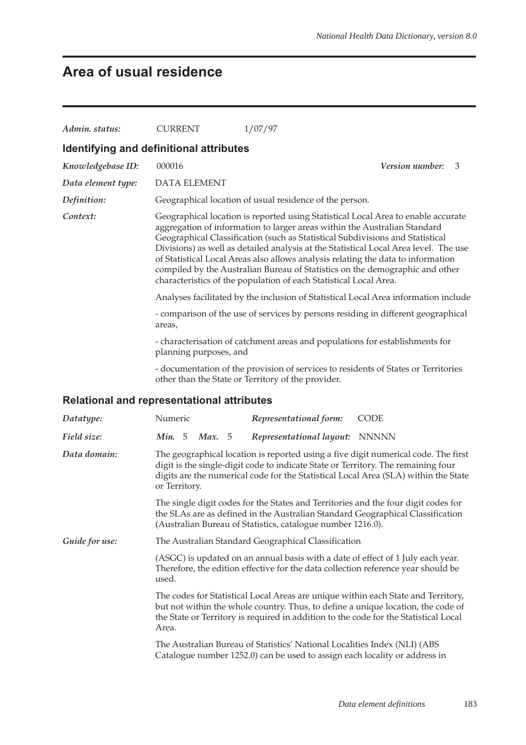# **Area of usual residence**

| Admin. status:                                    | <b>CURRENT</b>                                                                                                                               | 1/07/97                                                                                                                                                                                                                                                                                                                                                                                                                                                                                     |                 |  |  |  |
|---------------------------------------------------|----------------------------------------------------------------------------------------------------------------------------------------------|---------------------------------------------------------------------------------------------------------------------------------------------------------------------------------------------------------------------------------------------------------------------------------------------------------------------------------------------------------------------------------------------------------------------------------------------------------------------------------------------|-----------------|--|--|--|
| Identifying and definitional attributes           |                                                                                                                                              |                                                                                                                                                                                                                                                                                                                                                                                                                                                                                             |                 |  |  |  |
| Knowledgebase ID:                                 | 000016                                                                                                                                       |                                                                                                                                                                                                                                                                                                                                                                                                                                                                                             | Version number: |  |  |  |
| Data element type:                                | 3                                                                                                                                            |                                                                                                                                                                                                                                                                                                                                                                                                                                                                                             |                 |  |  |  |
|                                                   | <b>DATA ELEMENT</b>                                                                                                                          |                                                                                                                                                                                                                                                                                                                                                                                                                                                                                             |                 |  |  |  |
| Definition:<br>Context:                           | Geographical location of usual residence of the person.<br>Geographical location is reported using Statistical Local Area to enable accurate |                                                                                                                                                                                                                                                                                                                                                                                                                                                                                             |                 |  |  |  |
|                                                   |                                                                                                                                              | aggregation of information to larger areas within the Australian Standard<br>Geographical Classification (such as Statistical Subdivisions and Statistical<br>Divisions) as well as detailed analysis at the Statistical Local Area level. The use<br>of Statistical Local Areas also allows analysis relating the data to information<br>compiled by the Australian Bureau of Statistics on the demographic and other<br>characteristics of the population of each Statistical Local Area. |                 |  |  |  |
|                                                   |                                                                                                                                              | Analyses facilitated by the inclusion of Statistical Local Area information include                                                                                                                                                                                                                                                                                                                                                                                                         |                 |  |  |  |
|                                                   | areas,                                                                                                                                       | - comparison of the use of services by persons residing in different geographical                                                                                                                                                                                                                                                                                                                                                                                                           |                 |  |  |  |
|                                                   | - characterisation of catchment areas and populations for establishments for<br>planning purposes, and                                       |                                                                                                                                                                                                                                                                                                                                                                                                                                                                                             |                 |  |  |  |
|                                                   |                                                                                                                                              | - documentation of the provision of services to residents of States or Territories<br>other than the State or Territory of the provider.                                                                                                                                                                                                                                                                                                                                                    |                 |  |  |  |
| <b>Relational and representational attributes</b> |                                                                                                                                              |                                                                                                                                                                                                                                                                                                                                                                                                                                                                                             |                 |  |  |  |
| Datatype:                                         | Numeric                                                                                                                                      | Representational form:                                                                                                                                                                                                                                                                                                                                                                                                                                                                      | <b>CODE</b>     |  |  |  |
| Field size:                                       | <b>Min.</b> 5<br>Max. 5                                                                                                                      | Representational layout: NNNNN                                                                                                                                                                                                                                                                                                                                                                                                                                                              |                 |  |  |  |
| Data domain:                                      | or Territory.                                                                                                                                | The geographical location is reported using a five digit numerical code. The first<br>digit is the single-digit code to indicate State or Territory. The remaining four<br>digits are the numerical code for the Statistical Local Area (SLA) within the State                                                                                                                                                                                                                              |                 |  |  |  |
|                                                   |                                                                                                                                              | The single digit codes for the States and Territories and the four digit codes for<br>the SLAs are as defined in the Australian Standard Geographical Classification<br>(Australian Bureau of Statistics, catalogue number 1216.0).                                                                                                                                                                                                                                                         |                 |  |  |  |
| Guide for use:                                    |                                                                                                                                              | The Australian Standard Geographical Classification                                                                                                                                                                                                                                                                                                                                                                                                                                         |                 |  |  |  |
|                                                   | used.                                                                                                                                        | (ASGC) is updated on an annual basis with a date of effect of 1 July each year.<br>Therefore, the edition effective for the data collection reference year should be                                                                                                                                                                                                                                                                                                                        |                 |  |  |  |
|                                                   | Area.                                                                                                                                        | The codes for Statistical Local Areas are unique within each State and Territory,<br>but not within the whole country. Thus, to define a unique location, the code of<br>the State or Territory is required in addition to the code for the Statistical Local                                                                                                                                                                                                                               |                 |  |  |  |
|                                                   |                                                                                                                                              | The Australian Bureau of Statistics' National Localities Index (NLI) (ABS<br>Catalogue number 1252.0) can be used to assign each locality or address in                                                                                                                                                                                                                                                                                                                                     |                 |  |  |  |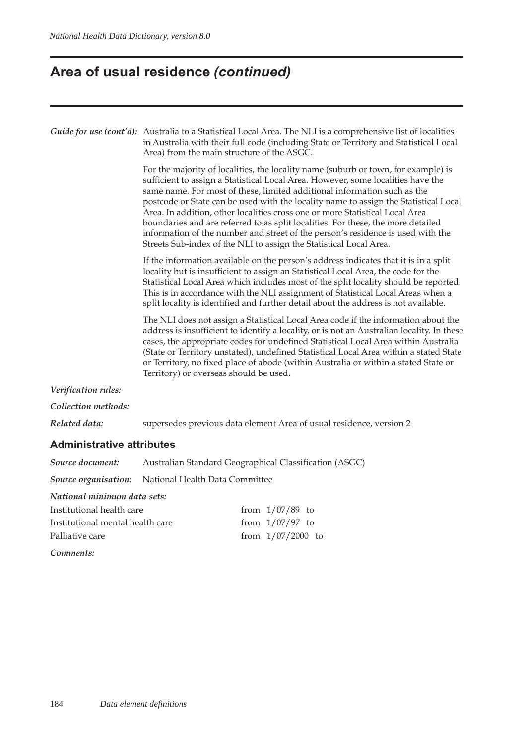# **Area of usual residence** *(continued)*

|                     | Guide for use (cont'd): Australia to a Statistical Local Area. The NLI is a comprehensive list of localities<br>in Australia with their full code (including State or Territory and Statistical Local<br>Area) from the main structure of the ASGC.<br>For the majority of localities, the locality name (suburb or town, for example) is<br>sufficient to assign a Statistical Local Area. However, some localities have the<br>same name. For most of these, limited additional information such as the |
|---------------------|-----------------------------------------------------------------------------------------------------------------------------------------------------------------------------------------------------------------------------------------------------------------------------------------------------------------------------------------------------------------------------------------------------------------------------------------------------------------------------------------------------------|
|                     | postcode or State can be used with the locality name to assign the Statistical Local<br>Area. In addition, other localities cross one or more Statistical Local Area<br>boundaries and are referred to as split localities. For these, the more detailed<br>information of the number and street of the person's residence is used with the<br>Streets Sub-index of the NLI to assign the Statistical Local Area.                                                                                         |
|                     | If the information available on the person's address indicates that it is in a split<br>locality but is insufficient to assign an Statistical Local Area, the code for the<br>Statistical Local Area which includes most of the split locality should be reported.<br>This is in accordance with the NLI assignment of Statistical Local Areas when a<br>split locality is identified and further detail about the address is not available.                                                              |
|                     | The NLI does not assign a Statistical Local Area code if the information about the<br>address is insufficient to identify a locality, or is not an Australian locality. In these<br>cases, the appropriate codes for undefined Statistical Local Area within Australia<br>(State or Territory unstated), undefined Statistical Local Area within a stated State<br>or Territory, no fixed place of abode (within Australia or within a stated State or<br>Territory) or overseas should be used.          |
| Verification rules: |                                                                                                                                                                                                                                                                                                                                                                                                                                                                                                           |
| Collection methods: |                                                                                                                                                                                                                                                                                                                                                                                                                                                                                                           |
| Related data:       | supersedes previous data element Area of usual residence, version 2                                                                                                                                                                                                                                                                                                                                                                                                                                       |
|                     |                                                                                                                                                                                                                                                                                                                                                                                                                                                                                                           |

#### **Administrative attributes**

| Source document:                 |                                                            |  | Australian Standard Geographical Classification (ASGC) |
|----------------------------------|------------------------------------------------------------|--|--------------------------------------------------------|
|                                  | <b>Source organisation:</b> National Health Data Committee |  |                                                        |
| National minimum data sets:      |                                                            |  |                                                        |
| Institutional health care        |                                                            |  | from $1/07/89$ to                                      |
| Institutional mental health care |                                                            |  | from $1/07/97$ to                                      |
| Palliative care                  |                                                            |  | from $1/07/2000$ to                                    |
| Comments:                        |                                                            |  |                                                        |
|                                  |                                                            |  |                                                        |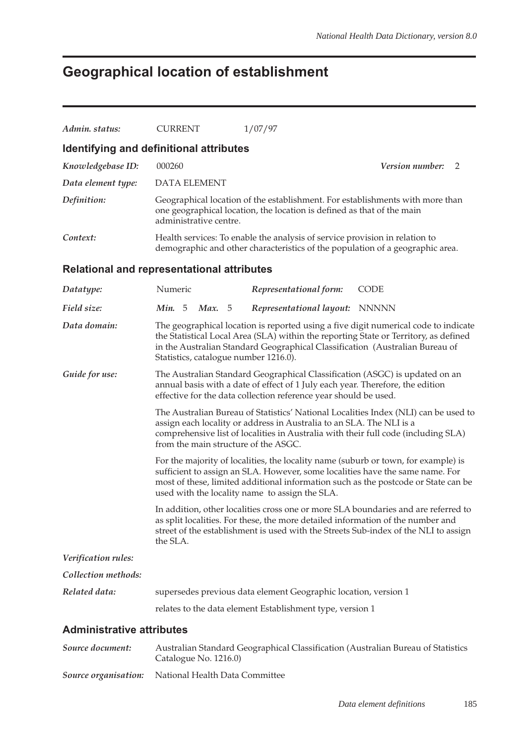# **Geographical location of establishment**

| Admin. status:                                    | <b>CURRENT</b>                        | 1/07/97                                                                                                                                                                                                                                                                                                     |                 |   |
|---------------------------------------------------|---------------------------------------|-------------------------------------------------------------------------------------------------------------------------------------------------------------------------------------------------------------------------------------------------------------------------------------------------------------|-----------------|---|
| Identifying and definitional attributes           |                                       |                                                                                                                                                                                                                                                                                                             |                 |   |
| Knowledgebase ID:                                 | 000260                                |                                                                                                                                                                                                                                                                                                             | Version number: | 2 |
| Data element type:                                | <b>DATA ELEMENT</b>                   |                                                                                                                                                                                                                                                                                                             |                 |   |
| Definition:                                       | administrative centre.                | Geographical location of the establishment. For establishments with more than<br>one geographical location, the location is defined as that of the main                                                                                                                                                     |                 |   |
| Context:                                          |                                       | Health services: To enable the analysis of service provision in relation to<br>demographic and other characteristics of the population of a geographic area.                                                                                                                                                |                 |   |
| <b>Relational and representational attributes</b> |                                       |                                                                                                                                                                                                                                                                                                             |                 |   |
| Datatype:                                         | Numeric                               | Representational form:                                                                                                                                                                                                                                                                                      | <b>CODE</b>     |   |
| Field size:                                       | <b>Min.</b> 5<br>Max. 5               | Representational layout: NNNNN                                                                                                                                                                                                                                                                              |                 |   |
| Data domain:                                      | Statistics, catalogue number 1216.0). | The geographical location is reported using a five digit numerical code to indicate<br>the Statistical Local Area (SLA) within the reporting State or Territory, as defined<br>in the Australian Standard Geographical Classification (Australian Bureau of                                                 |                 |   |
| Guide for use:                                    |                                       | The Australian Standard Geographical Classification (ASGC) is updated on an<br>annual basis with a date of effect of 1 July each year. Therefore, the edition<br>effective for the data collection reference year should be used.                                                                           |                 |   |
|                                                   | from the main structure of the ASGC.  | The Australian Bureau of Statistics' National Localities Index (NLI) can be used to<br>assign each locality or address in Australia to an SLA. The NLI is a<br>comprehensive list of localities in Australia with their full code (including SLA)                                                           |                 |   |
|                                                   |                                       | For the majority of localities, the locality name (suburb or town, for example) is<br>sufficient to assign an SLA. However, some localities have the same name. For<br>most of these, limited additional information such as the postcode or State can be<br>used with the locality name to assign the SLA. |                 |   |
|                                                   | the SLA.                              | In addition, other localities cross one or more SLA boundaries and are referred to<br>as split localities. For these, the more detailed information of the number and<br>street of the establishment is used with the Streets Sub-index of the NLI to assign                                                |                 |   |
| Verification rules:                               |                                       |                                                                                                                                                                                                                                                                                                             |                 |   |
| Collection methods:                               |                                       |                                                                                                                                                                                                                                                                                                             |                 |   |
| Related data:                                     |                                       | supersedes previous data element Geographic location, version 1                                                                                                                                                                                                                                             |                 |   |
|                                                   |                                       | relates to the data element Establishment type, version 1                                                                                                                                                                                                                                                   |                 |   |
| <b>Administrative attributes</b>                  |                                       |                                                                                                                                                                                                                                                                                                             |                 |   |
|                                                   |                                       |                                                                                                                                                                                                                                                                                                             |                 |   |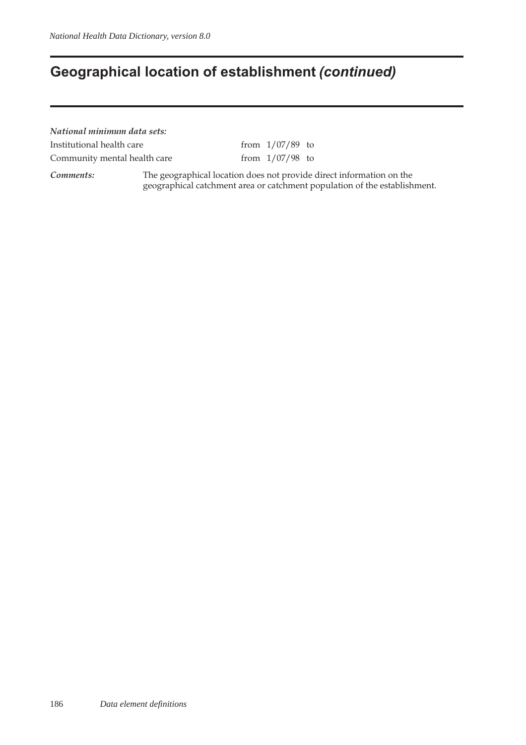## **Geographical location of establishment** *(continued)*

*National minimum data sets:* Institutional health care from  $1/07/89$  to

Community mental health care  $f$  from  $1/07/98$  to

*Comments:* The geographical location does not provide direct information on the geographical catchment area or catchment population of the establishment.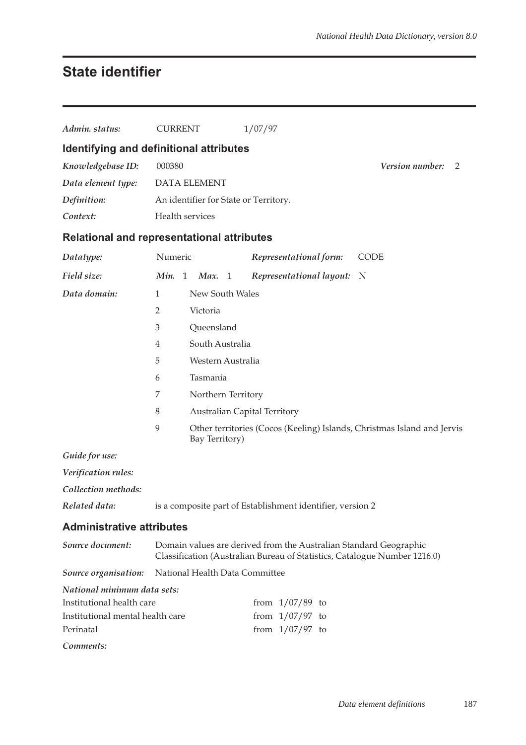## **State identifier**

| Admin. status:                   | <b>CURRENT</b><br>1/07/97                                                                                                                      |
|----------------------------------|------------------------------------------------------------------------------------------------------------------------------------------------|
|                                  | Identifying and definitional attributes                                                                                                        |
| Knowledgebase ID:                | 000380<br>Version number:<br>2                                                                                                                 |
| Data element type:               | <b>DATA ELEMENT</b>                                                                                                                            |
| Definition:                      | An identifier for State or Territory.                                                                                                          |
| Context:                         | Health services                                                                                                                                |
|                                  | <b>Relational and representational attributes</b>                                                                                              |
| Datatype:                        | Numeric<br>Representational form:<br><b>CODE</b>                                                                                               |
| Field size:                      | Min. 1<br>Representational layout: N<br>Max. 1                                                                                                 |
| Data domain:                     | New South Wales<br>1                                                                                                                           |
|                                  | $\overline{2}$<br>Victoria                                                                                                                     |
|                                  | Queensland<br>3                                                                                                                                |
|                                  | South Australia<br>$\overline{4}$                                                                                                              |
|                                  | 5<br>Western Australia                                                                                                                         |
|                                  | Tasmania<br>6                                                                                                                                  |
|                                  | $\overline{7}$<br>Northern Territory                                                                                                           |
|                                  | 8<br><b>Australian Capital Territory</b>                                                                                                       |
|                                  | 9<br>Other territories (Cocos (Keeling) Islands, Christmas Island and Jervis<br>Bay Territory)                                                 |
| Guide for use:                   |                                                                                                                                                |
| Verification rules:              |                                                                                                                                                |
| Collection methods:              |                                                                                                                                                |
| Related data:                    | is a composite part of Establishment identifier, version 2                                                                                     |
| <b>Administrative attributes</b> |                                                                                                                                                |
| Source document:                 | Domain values are derived from the Australian Standard Geographic<br>Classification (Australian Bureau of Statistics, Catalogue Number 1216.0) |
| Source organisation:             | National Health Data Committee                                                                                                                 |
| National minimum data sets:      |                                                                                                                                                |
| Institutional health care        | from $1/07/89$ to                                                                                                                              |
| Institutional mental health care | from $1/07/97$ to                                                                                                                              |
| Perinatal                        | from $1/07/97$ to                                                                                                                              |
| Comments:                        |                                                                                                                                                |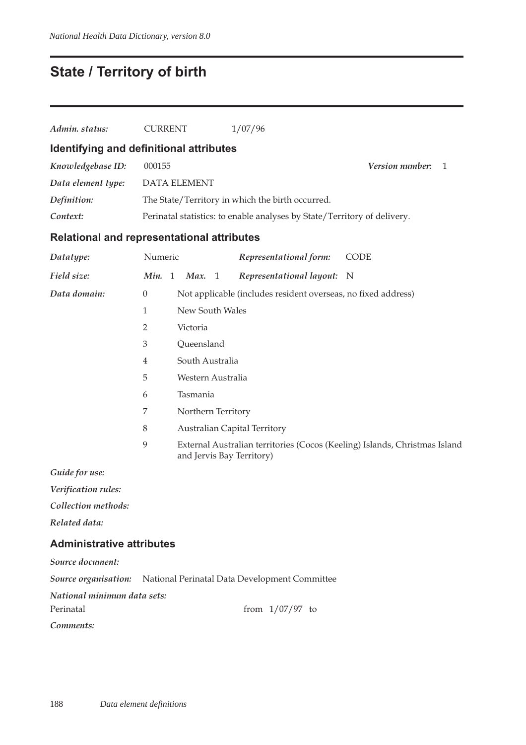# **State / Territory of birth**

| Admin. status:                                    | <b>CURRENT</b> |                     | 1/07/96                                                                  |                                                                            |
|---------------------------------------------------|----------------|---------------------|--------------------------------------------------------------------------|----------------------------------------------------------------------------|
| Identifying and definitional attributes           |                |                     |                                                                          |                                                                            |
| Knowledgebase ID:                                 | 000155         |                     |                                                                          | Version number:<br>1                                                       |
| Data element type:                                |                | <b>DATA ELEMENT</b> |                                                                          |                                                                            |
| Definition:                                       |                |                     | The State/Territory in which the birth occurred.                         |                                                                            |
| Context:                                          |                |                     | Perinatal statistics: to enable analyses by State/Territory of delivery. |                                                                            |
| <b>Relational and representational attributes</b> |                |                     |                                                                          |                                                                            |
| Datatype:                                         | Numeric        |                     | Representational form:                                                   | <b>CODE</b>                                                                |
| Field size:                                       | Min. 1         | Max. 1              | Representational layout:                                                 | $\mathbf N$                                                                |
| Data domain:                                      | $\theta$       |                     | Not applicable (includes resident overseas, no fixed address)            |                                                                            |
|                                                   | 1              | New South Wales     |                                                                          |                                                                            |
|                                                   | 2              | Victoria            |                                                                          |                                                                            |
|                                                   | 3              | Queensland          |                                                                          |                                                                            |
|                                                   | 4              | South Australia     |                                                                          |                                                                            |
|                                                   | 5              | Western Australia   |                                                                          |                                                                            |
|                                                   | 6              | Tasmania            |                                                                          |                                                                            |
|                                                   | 7              | Northern Territory  |                                                                          |                                                                            |
|                                                   | $8\,$          |                     | <b>Australian Capital Territory</b>                                      |                                                                            |
|                                                   | $\mathbf{9}$   |                     | and Jervis Bay Territory)                                                | External Australian territories (Cocos (Keeling) Islands, Christmas Island |
| $C_{11}$ : Le Lesson                              |                |                     |                                                                          |                                                                            |

*Guide for use:*

*Verification rules:*

*Collection methods:*

*Related data:*

### **Administrative attributes**

| Source document:            |                                                                           |
|-----------------------------|---------------------------------------------------------------------------|
|                             | <b>Source organisation:</b> National Perinatal Data Development Committee |
| National minimum data sets: |                                                                           |
| Perinatal                   | from $1/07/97$ to                                                         |

*Comments:*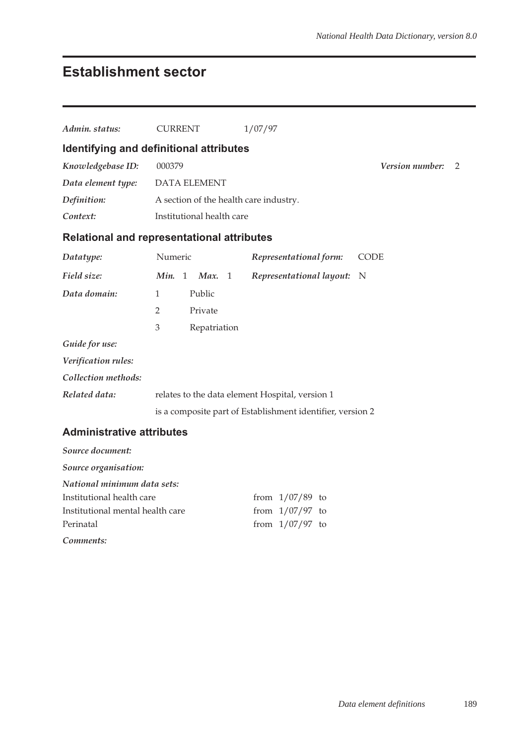## **Establishment sector**

| Admin. status:                   | <b>CURRENT</b>                                    | 1/07/97                                                    |                             |
|----------------------------------|---------------------------------------------------|------------------------------------------------------------|-----------------------------|
|                                  | Identifying and definitional attributes           |                                                            |                             |
| Knowledgebase ID:                | 000379                                            |                                                            | <b>Version number:</b><br>2 |
| Data element type:               | <b>DATA ELEMENT</b>                               |                                                            |                             |
| Definition:                      | A section of the health care industry.            |                                                            |                             |
| Context:                         | Institutional health care                         |                                                            |                             |
|                                  | <b>Relational and representational attributes</b> |                                                            |                             |
| Datatype:                        | Numeric                                           | Representational form:                                     | <b>CODE</b>                 |
| Field size:                      | Min. 1<br>Max. 1                                  | Representational layout:                                   | N                           |
| Data domain:                     | Public<br>$\mathbf{1}$                            |                                                            |                             |
|                                  | $\overline{2}$<br>Private                         |                                                            |                             |
|                                  | 3<br>Repatriation                                 |                                                            |                             |
| Guide for use:                   |                                                   |                                                            |                             |
| Verification rules:              |                                                   |                                                            |                             |
| Collection methods:              |                                                   |                                                            |                             |
| Related data:                    |                                                   | relates to the data element Hospital, version 1            |                             |
|                                  |                                                   | is a composite part of Establishment identifier, version 2 |                             |
| <b>Administrative attributes</b> |                                                   |                                                            |                             |

### *Source document: Source organisation: National minimum data sets:* Institutional health care from  $1/07/89$  to Institutional mental health care from  $1/07/97$  to Perinatal from 1/07/97 to *Comments:*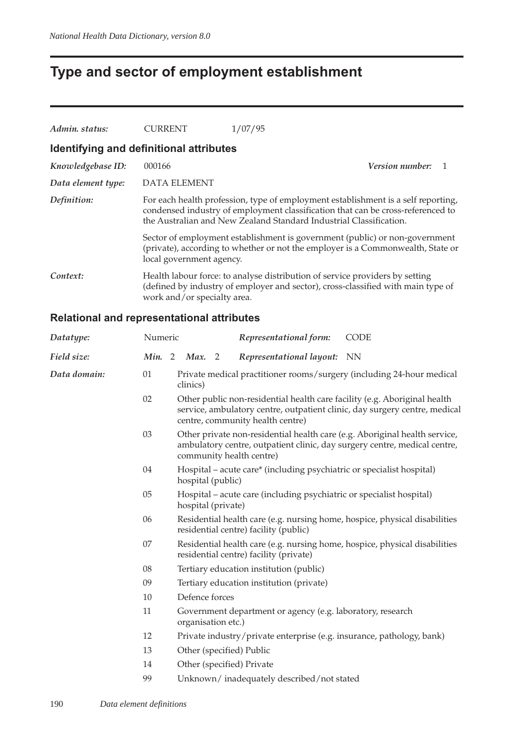# **Type and sector of employment establishment**

| Admin. status:                          | <b>CURRENT</b>              | 1/07/95                                                                                                                                                                                                                                    |                        |  |
|-----------------------------------------|-----------------------------|--------------------------------------------------------------------------------------------------------------------------------------------------------------------------------------------------------------------------------------------|------------------------|--|
| Identifying and definitional attributes |                             |                                                                                                                                                                                                                                            |                        |  |
| Knowledgebase ID:                       | 000166                      |                                                                                                                                                                                                                                            | <b>Version number:</b> |  |
| Data element type:                      | DATA ELEMENT                |                                                                                                                                                                                                                                            |                        |  |
| Definition:                             |                             | For each health profession, type of employment establishment is a self reporting,<br>condensed industry of employment classification that can be cross-referenced to<br>the Australian and New Zealand Standard Industrial Classification. |                        |  |
|                                         | local government agency.    | Sector of employment establishment is government (public) or non-government<br>(private), according to whether or not the employer is a Commonwealth, State or                                                                             |                        |  |
| Context:                                | work and/or specialty area. | Health labour force: to analyse distribution of service providers by setting<br>(defined by industry of employer and sector), cross-classified with main type of                                                                           |                        |  |

### **Relational and representational attributes**

| Datatype:    | Numeric   |                    | Representational form:                                                | <b>CODE</b>                                                                                                                                             |
|--------------|-----------|--------------------|-----------------------------------------------------------------------|---------------------------------------------------------------------------------------------------------------------------------------------------------|
| Field size:  | Min.<br>2 | Max. 2             | Representational layout: NN                                           |                                                                                                                                                         |
| Data domain: | 01        | clinics)           |                                                                       | Private medical practitioner rooms/surgery (including 24-hour medical                                                                                   |
|              | 02        |                    | centre, community health centre)                                      | Other public non-residential health care facility (e.g. Aboriginal health<br>service, ambulatory centre, outpatient clinic, day surgery centre, medical |
|              | 03        |                    | community health centre)                                              | Other private non-residential health care (e.g. Aboriginal health service,<br>ambulatory centre, outpatient clinic, day surgery centre, medical centre, |
|              | 04        | hospital (public)  | Hospital – acute care* (including psychiatric or specialist hospital) |                                                                                                                                                         |
|              | 05        | hospital (private) | Hospital – acute care (including psychiatric or specialist hospital)  |                                                                                                                                                         |
|              | 06        |                    | residential centre) facility (public)                                 | Residential health care (e.g. nursing home, hospice, physical disabilities                                                                              |
|              | 07        |                    | residential centre) facility (private)                                | Residential health care (e.g. nursing home, hospice, physical disabilities                                                                              |
|              | 08        |                    | Tertiary education institution (public)                               |                                                                                                                                                         |
|              | 09        |                    | Tertiary education institution (private)                              |                                                                                                                                                         |
|              | 10        | Defence forces     |                                                                       |                                                                                                                                                         |
|              | 11        | organisation etc.) | Government department or agency (e.g. laboratory, research            |                                                                                                                                                         |
|              | 12        |                    | Private industry/private enterprise (e.g. insurance, pathology, bank) |                                                                                                                                                         |
|              | 13        |                    | Other (specified) Public                                              |                                                                                                                                                         |
|              | 14        |                    | Other (specified) Private                                             |                                                                                                                                                         |
|              | 99        |                    | Unknown/inadequately described/not stated                             |                                                                                                                                                         |
|              |           |                    |                                                                       |                                                                                                                                                         |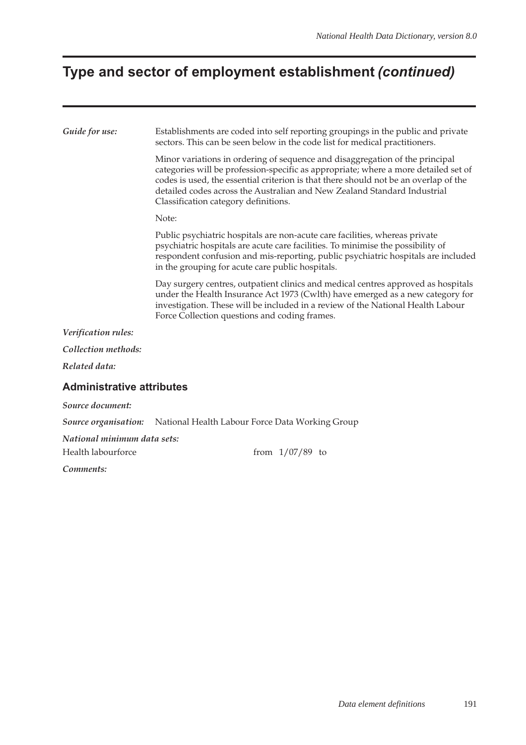# **Type and sector of employment establishment** *(continued)*

| Guide for use:                                    | Establishments are coded into self reporting groupings in the public and private<br>sectors. This can be seen below in the code list for medical practitioners.                                                                                                                                                                                                                 |
|---------------------------------------------------|---------------------------------------------------------------------------------------------------------------------------------------------------------------------------------------------------------------------------------------------------------------------------------------------------------------------------------------------------------------------------------|
|                                                   | Minor variations in ordering of sequence and disaggregation of the principal<br>categories will be profession-specific as appropriate; where a more detailed set of<br>codes is used, the essential criterion is that there should not be an overlap of the<br>detailed codes across the Australian and New Zealand Standard Industrial<br>Classification category definitions. |
|                                                   | Note:                                                                                                                                                                                                                                                                                                                                                                           |
|                                                   | Public psychiatric hospitals are non-acute care facilities, whereas private<br>psychiatric hospitals are acute care facilities. To minimise the possibility of<br>respondent confusion and mis-reporting, public psychiatric hospitals are included<br>in the grouping for acute care public hospitals.                                                                         |
|                                                   | Day surgery centres, outpatient clinics and medical centres approved as hospitals<br>under the Health Insurance Act 1973 (Cwlth) have emerged as a new category for<br>investigation. These will be included in a review of the National Health Labour<br>Force Collection questions and coding frames.                                                                         |
| Verification rules:                               |                                                                                                                                                                                                                                                                                                                                                                                 |
| Collection methods:                               |                                                                                                                                                                                                                                                                                                                                                                                 |
| Related data:                                     |                                                                                                                                                                                                                                                                                                                                                                                 |
| <b>Administrative attributes</b>                  |                                                                                                                                                                                                                                                                                                                                                                                 |
| Source document:                                  |                                                                                                                                                                                                                                                                                                                                                                                 |
| Source organisation:                              | National Health Labour Force Data Working Group                                                                                                                                                                                                                                                                                                                                 |
| National minimum data sets:<br>Health labourforce | from $1/07/89$ to                                                                                                                                                                                                                                                                                                                                                               |
| Comments:                                         |                                                                                                                                                                                                                                                                                                                                                                                 |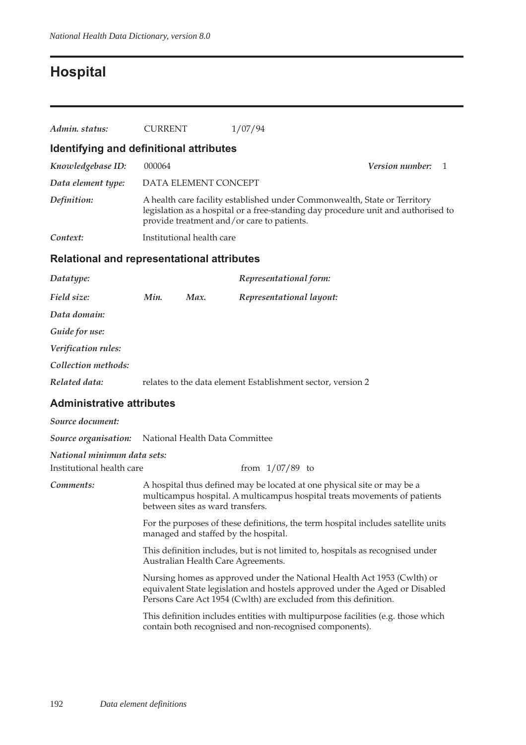# **Hospital**

| Admin. status:                             | <b>CURRENT</b> |                                  | 1/07/94                                                                                                                                                                                                                     |                 |    |
|--------------------------------------------|----------------|----------------------------------|-----------------------------------------------------------------------------------------------------------------------------------------------------------------------------------------------------------------------------|-----------------|----|
| Identifying and definitional attributes    |                |                                  |                                                                                                                                                                                                                             |                 |    |
| Knowledgebase ID:                          | 000064         |                                  |                                                                                                                                                                                                                             | Version number: | -1 |
| Data element type:                         |                | DATA ELEMENT CONCEPT             |                                                                                                                                                                                                                             |                 |    |
| Definition:                                |                |                                  | A health care facility established under Commonwealth, State or Territory<br>legislation as a hospital or a free-standing day procedure unit and authorised to<br>provide treatment and/or care to patients.                |                 |    |
| Context:                                   |                | Institutional health care        |                                                                                                                                                                                                                             |                 |    |
| Relational and representational attributes |                |                                  |                                                                                                                                                                                                                             |                 |    |
| Datatype:                                  |                |                                  | Representational form:                                                                                                                                                                                                      |                 |    |
| Field size:                                | Min.           | Max.                             | Representational layout:                                                                                                                                                                                                    |                 |    |
| Data domain:                               |                |                                  |                                                                                                                                                                                                                             |                 |    |
| Guide for use:                             |                |                                  |                                                                                                                                                                                                                             |                 |    |
| Verification rules:                        |                |                                  |                                                                                                                                                                                                                             |                 |    |
| Collection methods:                        |                |                                  |                                                                                                                                                                                                                             |                 |    |
| Related data:                              |                |                                  | relates to the data element Establishment sector, version 2                                                                                                                                                                 |                 |    |
| <b>Administrative attributes</b>           |                |                                  |                                                                                                                                                                                                                             |                 |    |
| Source document:                           |                |                                  |                                                                                                                                                                                                                             |                 |    |
| Source organisation:                       |                |                                  | National Health Data Committee                                                                                                                                                                                              |                 |    |
| National minimum data sets:                |                |                                  |                                                                                                                                                                                                                             |                 |    |
| Institutional health care                  |                |                                  | from $1/07/89$ to                                                                                                                                                                                                           |                 |    |
| Comments:                                  |                | between sites as ward transfers. | A hospital thus defined may be located at one physical site or may be a<br>multicampus hospital. A multicampus hospital treats movements of patients                                                                        |                 |    |
|                                            |                |                                  | For the purposes of these definitions, the term hospital includes satellite units<br>managed and staffed by the hospital.                                                                                                   |                 |    |
|                                            |                |                                  | This definition includes, but is not limited to, hospitals as recognised under<br>Australian Health Care Agreements.                                                                                                        |                 |    |
|                                            |                |                                  | Nursing homes as approved under the National Health Act 1953 (Cwlth) or<br>equivalent State legislation and hostels approved under the Aged or Disabled<br>Persons Care Act 1954 (Cwlth) are excluded from this definition. |                 |    |
|                                            |                |                                  | This definition includes entities with multipurpose facilities (e.g. those which<br>contain both recognised and non-recognised components).                                                                                 |                 |    |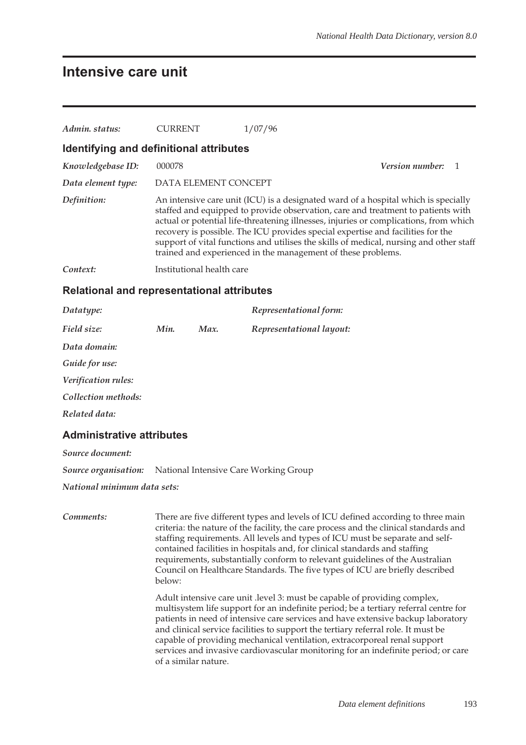### **Intensive care unit**

| Admin, status:                          | <b>CURRENT</b>            | 1/07/96                                                                                                                                                                                                                                                                                                                                                                                                                                                                                                      |                   |  |
|-----------------------------------------|---------------------------|--------------------------------------------------------------------------------------------------------------------------------------------------------------------------------------------------------------------------------------------------------------------------------------------------------------------------------------------------------------------------------------------------------------------------------------------------------------------------------------------------------------|-------------------|--|
| Identifying and definitional attributes |                           |                                                                                                                                                                                                                                                                                                                                                                                                                                                                                                              |                   |  |
| Knowledgebase ID:                       | 000078                    |                                                                                                                                                                                                                                                                                                                                                                                                                                                                                                              | Version number: 1 |  |
| Data element type:                      | DATA ELEMENT CONCEPT      |                                                                                                                                                                                                                                                                                                                                                                                                                                                                                                              |                   |  |
| Definition:                             |                           | An intensive care unit (ICU) is a designated ward of a hospital which is specially<br>staffed and equipped to provide observation, care and treatment to patients with<br>actual or potential life-threatening illnesses, injuries or complications, from which<br>recovery is possible. The ICU provides special expertise and facilities for the<br>support of vital functions and utilises the skills of medical, nursing and other staff<br>trained and experienced in the management of these problems. |                   |  |
| Context:                                | Institutional health care |                                                                                                                                                                                                                                                                                                                                                                                                                                                                                                              |                   |  |

#### **Relational and representational attributes**

| Datatype:           |      |      | Representational form:   |
|---------------------|------|------|--------------------------|
| Field size:         | Min. | Max. | Representational layout: |
| Data domain:        |      |      |                          |
| Guide for use:      |      |      |                          |
| Verification rules: |      |      |                          |
| Collection methods: |      |      |                          |
| Related data:       |      |      |                          |
|                     |      |      |                          |

### **Administrative attributes**

*Source document:*

*Source organisation:* National Intensive Care Working Group

*National minimum data sets:*

*Comments:* There are five different types and levels of ICU defined according to three main criteria: the nature of the facility, the care process and the clinical standards and staffing requirements. All levels and types of ICU must be separate and selfcontained facilities in hospitals and, for clinical standards and staffing requirements, substantially conform to relevant guidelines of the Australian Council on Healthcare Standards. The five types of ICU are briefly described below:

> Adult intensive care unit .level 3: must be capable of providing complex, multisystem life support for an indefinite period; be a tertiary referral centre for patients in need of intensive care services and have extensive backup laboratory and clinical service facilities to support the tertiary referral role. It must be capable of providing mechanical ventilation, extracorporeal renal support services and invasive cardiovascular monitoring for an indefinite period; or care of a similar nature.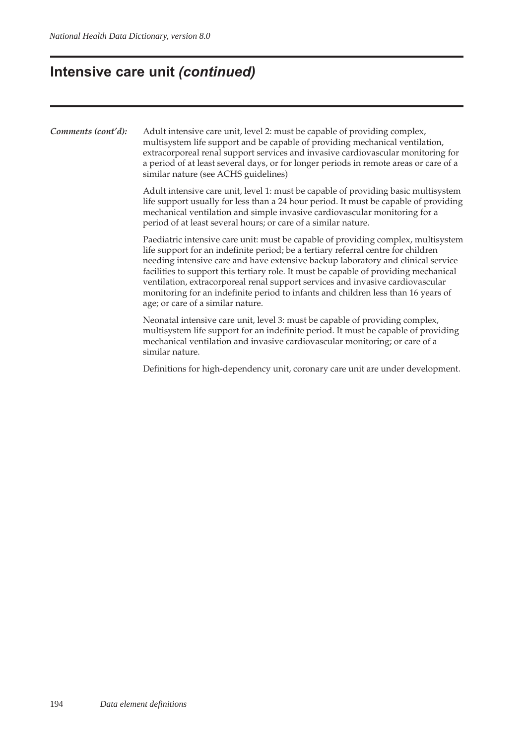# **Intensive care unit** *(continued)*

| Comments (cont'd): | Adult intensive care unit, level 2: must be capable of providing complex,<br>multisystem life support and be capable of providing mechanical ventilation,<br>extracorporeal renal support services and invasive cardiovascular monitoring for<br>a period of at least several days, or for longer periods in remote areas or care of a<br>similar nature (see ACHS guidelines)                                                                                                                                                                                 |
|--------------------|----------------------------------------------------------------------------------------------------------------------------------------------------------------------------------------------------------------------------------------------------------------------------------------------------------------------------------------------------------------------------------------------------------------------------------------------------------------------------------------------------------------------------------------------------------------|
|                    | Adult intensive care unit, level 1: must be capable of providing basic multisystem<br>life support usually for less than a 24 hour period. It must be capable of providing<br>mechanical ventilation and simple invasive cardiovascular monitoring for a<br>period of at least several hours; or care of a similar nature.                                                                                                                                                                                                                                     |
|                    | Paediatric intensive care unit: must be capable of providing complex, multisystem<br>life support for an indefinite period; be a tertiary referral centre for children<br>needing intensive care and have extensive backup laboratory and clinical service<br>facilities to support this tertiary role. It must be capable of providing mechanical<br>ventilation, extracorporeal renal support services and invasive cardiovascular<br>monitoring for an indefinite period to infants and children less than 16 years of<br>age; or care of a similar nature. |
|                    | Neonatal intensive care unit, level 3: must be capable of providing complex,<br>multisystem life support for an indefinite period. It must be capable of providing<br>mechanical ventilation and invasive cardiovascular monitoring; or care of a<br>similar nature.                                                                                                                                                                                                                                                                                           |
|                    | Definitions for high-dependency unit, coronary care unit are under development.                                                                                                                                                                                                                                                                                                                                                                                                                                                                                |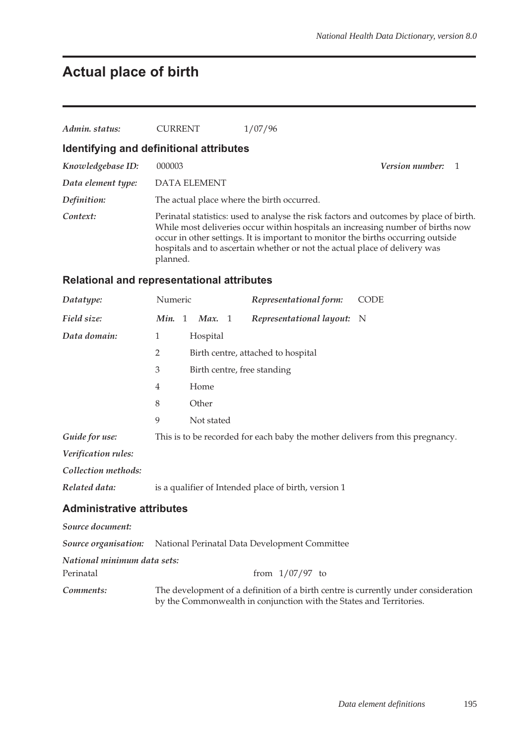## **Actual place of birth**

| Admin. status:                                    | <b>CURRENT</b>                             | 1/07/96                                                                                                                                                                                                                                                                                                                                     |                          |  |
|---------------------------------------------------|--------------------------------------------|---------------------------------------------------------------------------------------------------------------------------------------------------------------------------------------------------------------------------------------------------------------------------------------------------------------------------------------------|--------------------------|--|
| Identifying and definitional attributes           |                                            |                                                                                                                                                                                                                                                                                                                                             |                          |  |
| Knowledgebase ID:                                 | 000003                                     |                                                                                                                                                                                                                                                                                                                                             | <b>Version number:</b> 1 |  |
| Data element type:                                | <b>DATA ELEMENT</b>                        |                                                                                                                                                                                                                                                                                                                                             |                          |  |
| Definition:                                       | The actual place where the birth occurred. |                                                                                                                                                                                                                                                                                                                                             |                          |  |
| Context:                                          | planned.                                   | Perinatal statistics: used to analyse the risk factors and outcomes by place of birth.<br>While most deliveries occur within hospitals an increasing number of births now<br>occur in other settings. It is important to monitor the births occurring outside<br>hospitals and to ascertain whether or not the actual place of delivery was |                          |  |
| <b>Relational and representational attributes</b> |                                            |                                                                                                                                                                                                                                                                                                                                             |                          |  |

| Datatype:      | Numeric                |                             | Representational form:                                                        | <b>CODE</b> |
|----------------|------------------------|-----------------------------|-------------------------------------------------------------------------------|-------------|
| Field size:    | Min.<br>$\overline{1}$ | Max. 1                      | <i>Representational layout:</i> N                                             |             |
| Data domain:   | 1                      | Hospital                    |                                                                               |             |
|                | $\overline{2}$         |                             | Birth centre, attached to hospital                                            |             |
|                | 3                      | Birth centre, free standing |                                                                               |             |
|                | $\overline{4}$         | Home                        |                                                                               |             |
|                | 8                      | Other                       |                                                                               |             |
|                | 9                      | Not stated                  |                                                                               |             |
| Guide for use: |                        |                             | This is to be recorded for each baby the mother delivers from this pregnancy. |             |

*Verification rules:*

*Collection methods:*

*Related data:* is a qualifier of Intended place of birth, version 1

#### **Administrative attributes**

| Source document:            |                                                                                    |
|-----------------------------|------------------------------------------------------------------------------------|
|                             | <b>Source organisation:</b> National Perinatal Data Development Committee          |
| National minimum data sets: |                                                                                    |
| Perinatal                   | from $1/07/97$ to                                                                  |
| Comments:                   | The development of a definition of a birth centre is currently under consideration |

by the Commonwealth in conjunction with the States and Territories.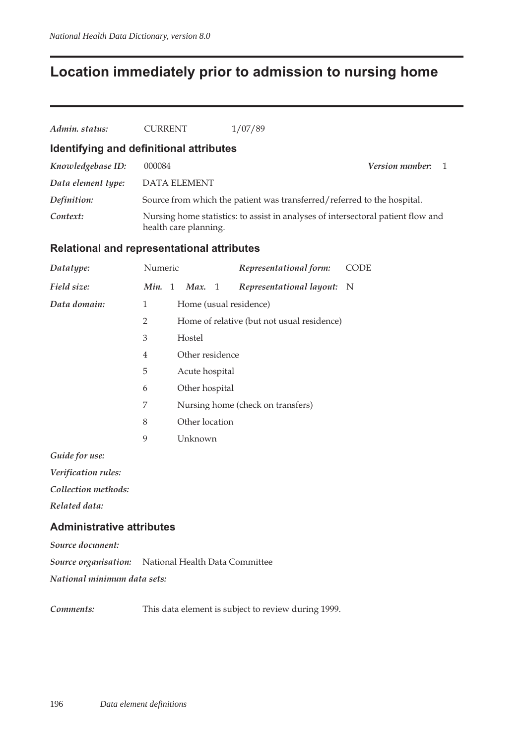## **Location immediately prior to admission to nursing home**

| Admin. status:     | <b>CURRENT</b>                          | 1/07/89                                                                          |                        |  |
|--------------------|-----------------------------------------|----------------------------------------------------------------------------------|------------------------|--|
|                    | Identifying and definitional attributes |                                                                                  |                        |  |
| Knowledgebase ID:  | 000084                                  |                                                                                  | <i>Version number:</i> |  |
| Data element type: | <b>DATA ELEMENT</b>                     |                                                                                  |                        |  |
| Definition:        |                                         | Source from which the patient was transferred/referred to the hospital.          |                        |  |
| Context:           | health care planning.                   | Nursing home statistics: to assist in analyses of intersectoral patient flow and |                        |  |

#### **Relational and representational attributes**

| Datatype:    | Numeric        |                 | Representational form:                     | <b>CODE</b> |
|--------------|----------------|-----------------|--------------------------------------------|-------------|
| Field size:  | Min. $1$       | Max. 1          | Representational layout: N                 |             |
| Data domain: | 1              |                 | Home (usual residence)                     |             |
|              | $\overline{2}$ |                 | Home of relative (but not usual residence) |             |
|              | 3              | Hostel          |                                            |             |
|              | $\overline{4}$ | Other residence |                                            |             |
|              | 5              | Acute hospital  |                                            |             |
|              | 6              | Other hospital  |                                            |             |
|              | 7              |                 | Nursing home (check on transfers)          |             |
|              | 8              | Other location  |                                            |             |
|              | 9              | Unknown         |                                            |             |
|              |                |                 |                                            |             |

*Guide for use:*

*Verification rules:*

*Collection methods:*

*Related data:*

#### **Administrative attributes**

*Source document:*

*Source organisation:* National Health Data Committee

*National minimum data sets:*

*Comments:* This data element is subject to review during 1999.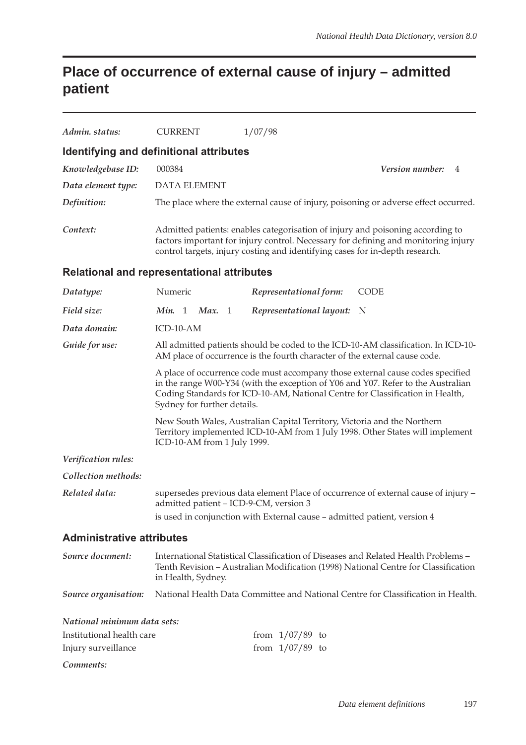## **Place of occurrence of external cause of injury – admitted patient**

| Admin. status:                                    | <b>CURRENT</b>                                                                                                                                                                                                                                                                     | 1/07/98                                                                  |                                                                                     |  |  |
|---------------------------------------------------|------------------------------------------------------------------------------------------------------------------------------------------------------------------------------------------------------------------------------------------------------------------------------------|--------------------------------------------------------------------------|-------------------------------------------------------------------------------------|--|--|
| Identifying and definitional attributes           |                                                                                                                                                                                                                                                                                    |                                                                          |                                                                                     |  |  |
| Knowledgebase ID:                                 | 000384                                                                                                                                                                                                                                                                             |                                                                          | Version number:<br>4                                                                |  |  |
| Data element type:                                | <b>DATA ELEMENT</b>                                                                                                                                                                                                                                                                |                                                                          |                                                                                     |  |  |
| Definition:                                       |                                                                                                                                                                                                                                                                                    |                                                                          | The place where the external cause of injury, poisoning or adverse effect occurred. |  |  |
| Context:                                          | Admitted patients: enables categorisation of injury and poisoning according to<br>factors important for injury control. Necessary for defining and monitoring injury<br>control targets, injury costing and identifying cases for in-depth research.                               |                                                                          |                                                                                     |  |  |
| <b>Relational and representational attributes</b> |                                                                                                                                                                                                                                                                                    |                                                                          |                                                                                     |  |  |
| Datatype:                                         | Numeric                                                                                                                                                                                                                                                                            | Representational form:                                                   | <b>CODE</b>                                                                         |  |  |
| Field size:                                       | Min. 1<br>Max.<br>$\overline{1}$                                                                                                                                                                                                                                                   | Representational layout:                                                 | - N                                                                                 |  |  |
| Data domain:                                      | ICD-10-AM                                                                                                                                                                                                                                                                          |                                                                          |                                                                                     |  |  |
| Guide for use:                                    | All admitted patients should be coded to the ICD-10-AM classification. In ICD-10-<br>AM place of occurrence is the fourth character of the external cause code.                                                                                                                    |                                                                          |                                                                                     |  |  |
|                                                   | A place of occurrence code must accompany those external cause codes specified<br>in the range W00-Y34 (with the exception of Y06 and Y07. Refer to the Australian<br>Coding Standards for ICD-10-AM, National Centre for Classification in Health,<br>Sydney for further details. |                                                                          |                                                                                     |  |  |
|                                                   | New South Wales, Australian Capital Territory, Victoria and the Northern<br>Territory implemented ICD-10-AM from 1 July 1998. Other States will implement<br>ICD-10-AM from 1 July 1999.                                                                                           |                                                                          |                                                                                     |  |  |
| Verification rules:                               |                                                                                                                                                                                                                                                                                    |                                                                          |                                                                                     |  |  |
| Collection methods:                               |                                                                                                                                                                                                                                                                                    |                                                                          |                                                                                     |  |  |
| Related data:                                     | admitted patient - ICD-9-CM, version 3                                                                                                                                                                                                                                             |                                                                          | supersedes previous data element Place of occurrence of external cause of injury -  |  |  |
|                                                   |                                                                                                                                                                                                                                                                                    | is used in conjunction with External cause - admitted patient, version 4 |                                                                                     |  |  |
| <b>Administrative attributes</b>                  |                                                                                                                                                                                                                                                                                    |                                                                          |                                                                                     |  |  |
| Source document:                                  | International Statistical Classification of Diseases and Related Health Problems -<br>Tenth Revision – Australian Modification (1998) National Centre for Classification<br>in Health, Sydney.                                                                                     |                                                                          |                                                                                     |  |  |
| Source organisation:                              | National Health Data Committee and National Centre for Classification in Health.                                                                                                                                                                                                   |                                                                          |                                                                                     |  |  |
| National minimum data sets:                       |                                                                                                                                                                                                                                                                                    |                                                                          |                                                                                     |  |  |
| Institutional health care                         |                                                                                                                                                                                                                                                                                    | from $1/07/89$ to                                                        |                                                                                     |  |  |
| Injury surveillance                               |                                                                                                                                                                                                                                                                                    | from $1/07/89$ to                                                        |                                                                                     |  |  |
| Comments:                                         |                                                                                                                                                                                                                                                                                    |                                                                          |                                                                                     |  |  |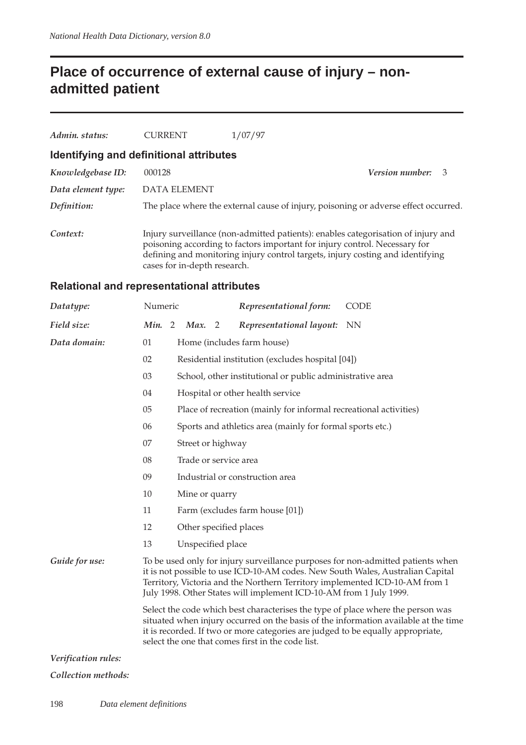## **Place of occurrence of external cause of injury – nonadmitted patient**

| Admin. status:     | <b>CURRENT</b>                          | 1/07/97                                                                                                                                                                                                                                           |                          |  |
|--------------------|-----------------------------------------|---------------------------------------------------------------------------------------------------------------------------------------------------------------------------------------------------------------------------------------------------|--------------------------|--|
|                    | Identifying and definitional attributes |                                                                                                                                                                                                                                                   |                          |  |
| Knowledgebase ID:  | 000128                                  |                                                                                                                                                                                                                                                   | <b>Version number:</b> 3 |  |
| Data element type: | DATA ELEMENT                            |                                                                                                                                                                                                                                                   |                          |  |
| Definition:        |                                         | The place where the external cause of injury, poisoning or adverse effect occurred.                                                                                                                                                               |                          |  |
| Context:           | cases for in-depth research.            | Injury surveillance (non-admitted patients): enables categorisation of injury and<br>poisoning according to factors important for injury control. Necessary for<br>defining and monitoring injury control targets, injury costing and identifying |                          |  |

### **Relational and representational attributes**

| Datatype:           | Numeric |                                                                                                                                                                                                                                                                                                                |                                                           |  | Representational form:                                                                                                                            | <b>CODE</b>                                                                                                                                                       |  |  |
|---------------------|---------|----------------------------------------------------------------------------------------------------------------------------------------------------------------------------------------------------------------------------------------------------------------------------------------------------------------|-----------------------------------------------------------|--|---------------------------------------------------------------------------------------------------------------------------------------------------|-------------------------------------------------------------------------------------------------------------------------------------------------------------------|--|--|
| Field size:         | Min. 2  |                                                                                                                                                                                                                                                                                                                | Max. 2                                                    |  | Representational layout:                                                                                                                          | NN.                                                                                                                                                               |  |  |
| Data domain:        | 01      |                                                                                                                                                                                                                                                                                                                |                                                           |  | Home (includes farm house)                                                                                                                        |                                                                                                                                                                   |  |  |
|                     | 02      |                                                                                                                                                                                                                                                                                                                |                                                           |  | Residential institution (excludes hospital [04])                                                                                                  |                                                                                                                                                                   |  |  |
|                     | 03      |                                                                                                                                                                                                                                                                                                                | School, other institutional or public administrative area |  |                                                                                                                                                   |                                                                                                                                                                   |  |  |
|                     | 04      |                                                                                                                                                                                                                                                                                                                |                                                           |  | Hospital or other health service                                                                                                                  |                                                                                                                                                                   |  |  |
|                     | 05      |                                                                                                                                                                                                                                                                                                                |                                                           |  | Place of recreation (mainly for informal recreational activities)                                                                                 |                                                                                                                                                                   |  |  |
|                     | 06      |                                                                                                                                                                                                                                                                                                                |                                                           |  | Sports and athletics area (mainly for formal sports etc.)                                                                                         |                                                                                                                                                                   |  |  |
|                     | 07      |                                                                                                                                                                                                                                                                                                                | Street or highway                                         |  |                                                                                                                                                   |                                                                                                                                                                   |  |  |
|                     | 08      |                                                                                                                                                                                                                                                                                                                | Trade or service area                                     |  |                                                                                                                                                   |                                                                                                                                                                   |  |  |
|                     | 09      |                                                                                                                                                                                                                                                                                                                |                                                           |  | Industrial or construction area                                                                                                                   |                                                                                                                                                                   |  |  |
|                     | 10      |                                                                                                                                                                                                                                                                                                                | Mine or quarry                                            |  |                                                                                                                                                   |                                                                                                                                                                   |  |  |
|                     | 11      |                                                                                                                                                                                                                                                                                                                |                                                           |  | Farm (excludes farm house [01])                                                                                                                   |                                                                                                                                                                   |  |  |
|                     | 12      |                                                                                                                                                                                                                                                                                                                |                                                           |  | Other specified places                                                                                                                            |                                                                                                                                                                   |  |  |
|                     | 13      |                                                                                                                                                                                                                                                                                                                | Unspecified place                                         |  |                                                                                                                                                   |                                                                                                                                                                   |  |  |
| Guide for use:      |         |                                                                                                                                                                                                                                                                                                                |                                                           |  | Territory, Victoria and the Northern Territory implemented ICD-10-AM from 1<br>July 1998. Other States will implement ICD-10-AM from 1 July 1999. | To be used only for injury surveillance purposes for non-admitted patients when<br>it is not possible to use ICD-10-AM codes. New South Wales, Australian Capital |  |  |
|                     |         | Select the code which best characterises the type of place where the person was<br>situated when injury occurred on the basis of the information available at the time<br>it is recorded. If two or more categories are judged to be equally appropriate,<br>select the one that comes first in the code list. |                                                           |  |                                                                                                                                                   |                                                                                                                                                                   |  |  |
| Verification rules: |         |                                                                                                                                                                                                                                                                                                                |                                                           |  |                                                                                                                                                   |                                                                                                                                                                   |  |  |

#### *Collection methods:*